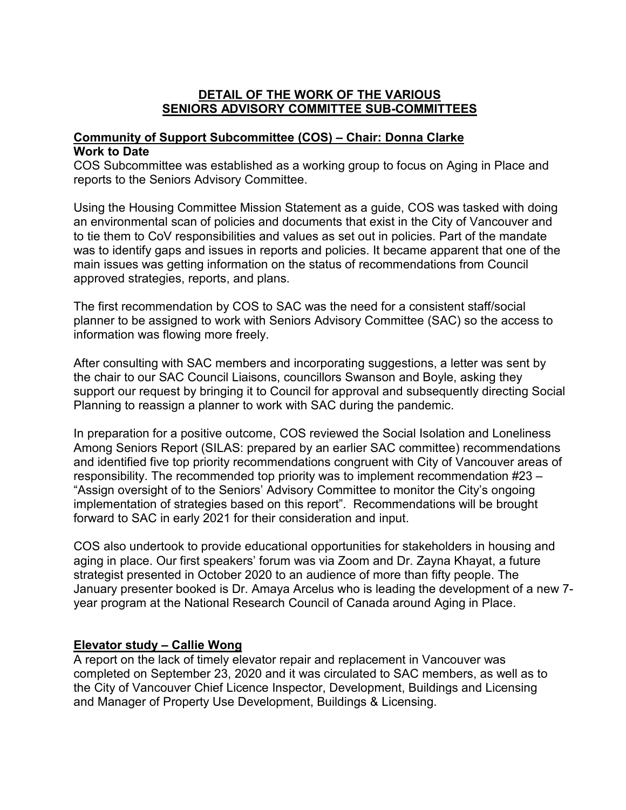#### **DETAIL OF THE WORK OF THE VARIOUS SENIORS ADVISORY COMMITTEE SUB-COMMITTEES**

# **Community of Support Subcommittee (COS) – Chair: Donna Clarke Work to Date**

COS Subcommittee was established as a working group to focus on Aging in Place and reports to the Seniors Advisory Committee.

Using the Housing Committee Mission Statement as a guide, COS was tasked with doing an environmental scan of policies and documents that exist in the City of Vancouver and to tie them to CoV responsibilities and values as set out in policies. Part of the mandate was to identify gaps and issues in reports and policies. It became apparent that one of the main issues was getting information on the status of recommendations from Council approved strategies, reports, and plans.

The first recommendation by COS to SAC was the need for a consistent staff/social planner to be assigned to work with Seniors Advisory Committee (SAC) so the access to information was flowing more freely.

After consulting with SAC members and incorporating suggestions, a letter was sent by the chair to our SAC Council Liaisons, councillors Swanson and Boyle, asking they support our request by bringing it to Council for approval and subsequently directing Social Planning to reassign a planner to work with SAC during the pandemic.

In preparation for a positive outcome, COS reviewed the Social Isolation and Loneliness Among Seniors Report (SILAS: prepared by an earlier SAC committee) recommendations and identified five top priority recommendations congruent with City of Vancouver areas of responsibility. The recommended top priority was to implement recommendation #23 – "Assign oversight of to the Seniors' Advisory Committee to monitor the City's ongoing implementation of strategies based on this report". Recommendations will be brought forward to SAC in early 2021 for their consideration and input.

COS also undertook to provide educational opportunities for stakeholders in housing and aging in place. Our first speakers' forum was via Zoom and Dr. Zayna Khayat, a future strategist presented in October 2020 to an audience of more than fifty people. The January presenter booked is Dr. Amaya Arcelus who is leading the development of a new 7 year program at the National Research Council of Canada around Aging in Place.

# **Elevator study – Callie Wong**

A report on the lack of timely elevator repair and replacement in Vancouver was completed on September 23, 2020 and it was circulated to SAC members, as well as to the City of Vancouver Chief Licence Inspector, Development, Buildings and Licensing and Manager of Property Use Development, Buildings & Licensing.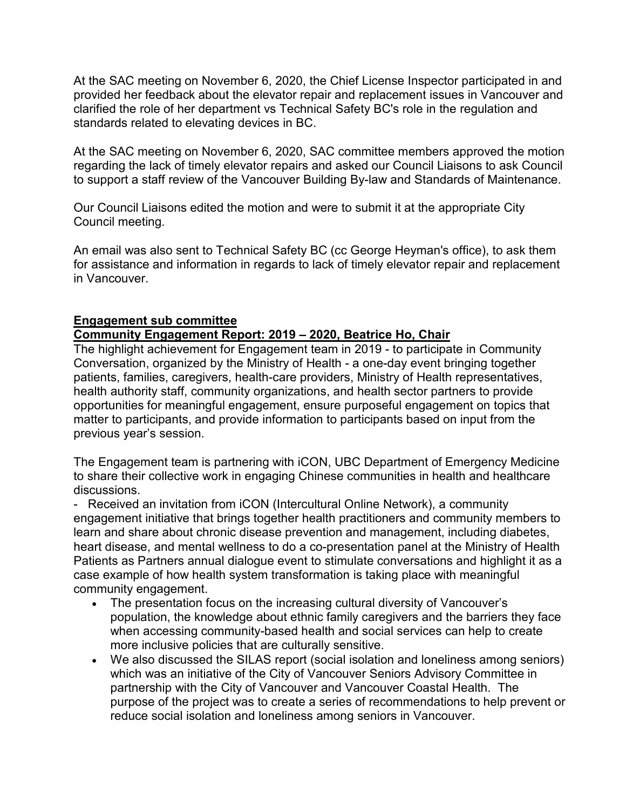At the SAC meeting on November 6, 2020, the Chief License Inspector participated in and provided her feedback about the elevator repair and replacement issues in Vancouver and clarified the role of her department vs Technical Safety BC's role in the regulation and standards related to elevating devices in BC.

At the SAC meeting on November 6, 2020, SAC committee members approved the motion regarding the lack of timely elevator repairs and asked our Council Liaisons to ask Council to support a staff review of the Vancouver Building By-law and Standards of Maintenance.

Our Council Liaisons edited the motion and were to submit it at the appropriate City Council meeting.

An email was also sent to Technical Safety BC (cc George Heyman's office), to ask them for assistance and information in regards to lack of timely elevator repair and replacement in Vancouver.

#### **Engagement sub committee**

#### **Community Engagement Report: 2019 – 2020, Beatrice Ho, Chair**

The highlight achievement for Engagement team in 2019 - to participate in Community Conversation, organized by the Ministry of Health - a one-day event bringing together patients, families, caregivers, health-care providers, Ministry of Health representatives, health authority staff, community organizations, and health sector partners to provide opportunities for meaningful engagement, ensure purposeful engagement on topics that matter to participants, and provide information to participants based on input from the previous year's session.

The Engagement team is partnering with iCON, UBC Department of Emergency Medicine to share their collective work in engaging Chinese communities in health and healthcare discussions.

- Received an invitation from iCON (Intercultural Online Network), a community engagement initiative that brings together health practitioners and community members to learn and share about chronic disease prevention and management, including diabetes, heart disease, and mental wellness to do a co-presentation panel at the Ministry of Health Patients as Partners annual dialogue event to stimulate conversations and highlight it as a case example of how health system transformation is taking place with meaningful community engagement.

- The presentation focus on the increasing cultural diversity of Vancouver's population, the knowledge about ethnic family caregivers and the barriers they face when accessing community-based health and social services can help to create more inclusive policies that are culturally sensitive.
- We also discussed the SILAS report (social isolation and loneliness among seniors) which was an initiative of the City of Vancouver Seniors Advisory Committee in partnership with the City of Vancouver and Vancouver Coastal Health. The purpose of the project was to create a series of recommendations to help prevent or reduce social isolation and loneliness among seniors in Vancouver.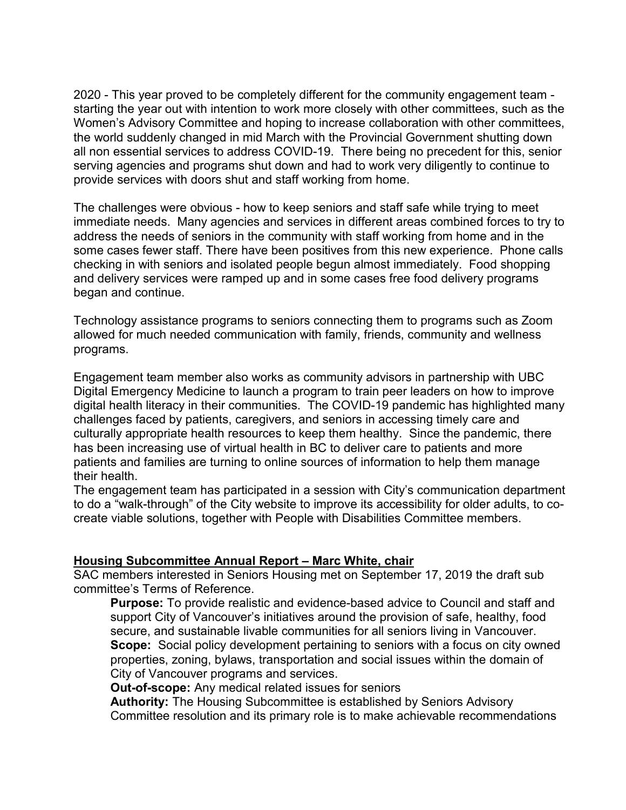2020 - This year proved to be completely different for the community engagement team starting the year out with intention to work more closely with other committees, such as the Women's Advisory Committee and hoping to increase collaboration with other committees, the world suddenly changed in mid March with the Provincial Government shutting down all non essential services to address COVID-19. There being no precedent for this, senior serving agencies and programs shut down and had to work very diligently to continue to provide services with doors shut and staff working from home.

The challenges were obvious - how to keep seniors and staff safe while trying to meet immediate needs. Many agencies and services in different areas combined forces to try to address the needs of seniors in the community with staff working from home and in the some cases fewer staff. There have been positives from this new experience. Phone calls checking in with seniors and isolated people begun almost immediately. Food shopping and delivery services were ramped up and in some cases free food delivery programs began and continue.

Technology assistance programs to seniors connecting them to programs such as Zoom allowed for much needed communication with family, friends, community and wellness programs.

Engagement team member also works as community advisors in partnership with UBC Digital Emergency Medicine to launch a program to train peer leaders on how to improve digital health literacy in their communities. The COVID-19 pandemic has highlighted many challenges faced by patients, caregivers, and seniors in accessing timely care and culturally appropriate health resources to keep them healthy. Since the pandemic, there has been increasing use of virtual health in BC to deliver care to patients and more patients and families are turning to online sources of information to help them manage their health.

The engagement team has participated in a session with City's communication department to do a "walk-through" of the City website to improve its accessibility for older adults, to cocreate viable solutions, together with People with Disabilities Committee members.

# **Housing Subcommittee Annual Report – Marc White, chair**

SAC members interested in Seniors Housing met on September 17, 2019 the draft sub committee's Terms of Reference.

**Purpose:** To provide realistic and evidence-based advice to Council and staff and support City of Vancouver's initiatives around the provision of safe, healthy, food secure, and sustainable livable communities for all seniors living in Vancouver. **Scope:** Social policy development pertaining to seniors with a focus on city owned properties, zoning, bylaws, transportation and social issues within the domain of City of Vancouver programs and services.

**Out-of-scope:** Any medical related issues for seniors

**Authority:** The Housing Subcommittee is established by Seniors Advisory Committee resolution and its primary role is to make achievable recommendations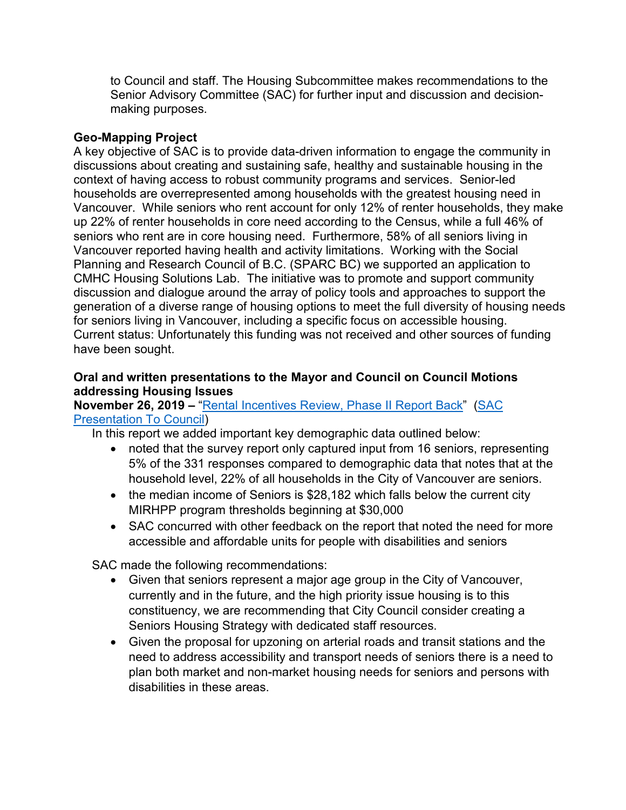to Council and staff. The Housing Subcommittee makes recommendations to the Senior Advisory Committee (SAC) for further input and discussion and decisionmaking purposes.

### **Geo-Mapping Project**

A key objective of SAC is to provide data-driven information to engage the community in discussions about creating and sustaining safe, healthy and sustainable housing in the context of having access to robust community programs and services. Senior-led households are overrepresented among households with the greatest housing need in Vancouver. While seniors who rent account for only 12% of renter households, they make up 22% of renter households in core need according to the Census, while a full 46% of seniors who rent are in core housing need. Furthermore, 58% of all seniors living in Vancouver reported having health and activity limitations. Working with the Social Planning and Research Council of B.C. (SPARC BC) we supported an application to CMHC Housing Solutions Lab. The initiative was to promote and support community discussion and dialogue around the array of policy tools and approaches to support the generation of a diverse range of housing options to meet the full diversity of housing needs for seniors living in Vancouver, including a specific focus on accessible housing. Current status: Unfortunately this funding was not received and other sources of funding have been sought.

### **Oral and written presentations to the Mayor and Council on Council Motions addressing Housing Issues**

### **November 26, 2019 –** ["Rental Incentives Review, Phase II Report Back"](https://council.vancouver.ca/20191126/documents/p1.pdf) [\(SAC](https://e.pcloud.link/publink/show?code=XZDJT7ZRupvgU1GrXfWJdwNdQESPSgfbBFX)  [Presentation To Council\)](https://e.pcloud.link/publink/show?code=XZDJT7ZRupvgU1GrXfWJdwNdQESPSgfbBFX)

In this report we added important key demographic data outlined below:

- noted that the survey report only captured input from 16 seniors, representing 5% of the 331 responses compared to demographic data that notes that at the household level, 22% of all households in the City of Vancouver are seniors.
- the median income of Seniors is \$28,182 which falls below the current city MIRHPP program thresholds beginning at \$30,000
- SAC concurred with other feedback on the report that noted the need for more accessible and affordable units for people with disabilities and seniors

SAC made the following recommendations:

- Given that seniors represent a major age group in the City of Vancouver, currently and in the future, and the high priority issue housing is to this constituency, we are recommending that City Council consider creating a Seniors Housing Strategy with dedicated staff resources.
- Given the proposal for upzoning on arterial roads and transit stations and the need to address accessibility and transport needs of seniors there is a need to plan both market and non-market housing needs for seniors and persons with disabilities in these areas.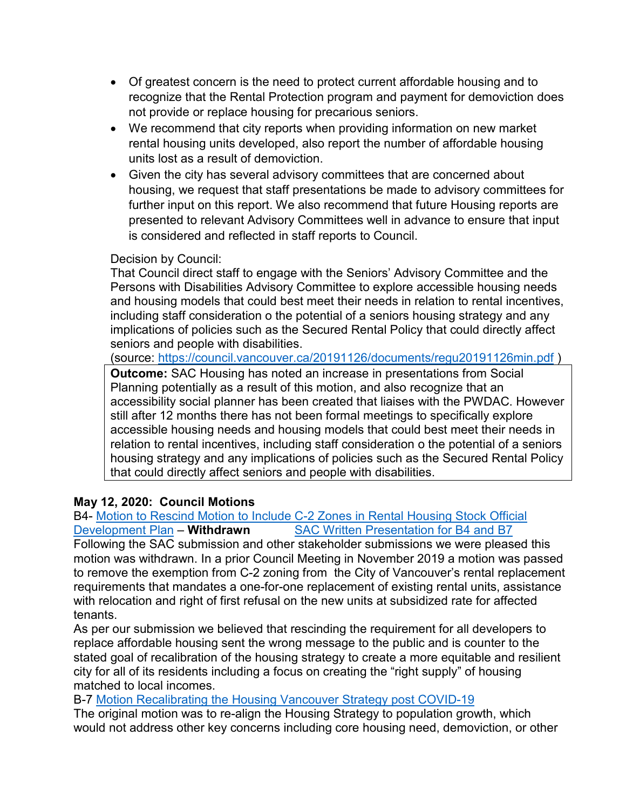- Of greatest concern is the need to protect current affordable housing and to recognize that the Rental Protection program and payment for demoviction does not provide or replace housing for precarious seniors.
- We recommend that city reports when providing information on new market rental housing units developed, also report the number of affordable housing units lost as a result of demoviction.
- Given the city has several advisory committees that are concerned about housing, we request that staff presentations be made to advisory committees for further input on this report. We also recommend that future Housing reports are presented to relevant Advisory Committees well in advance to ensure that input is considered and reflected in staff reports to Council.

# Decision by Council:

That Council direct staff to engage with the Seniors' Advisory Committee and the Persons with Disabilities Advisory Committee to explore accessible housing needs and housing models that could best meet their needs in relation to rental incentives, including staff consideration o the potential of a seniors housing strategy and any implications of policies such as the Secured Rental Policy that could directly affect seniors and people with disabilities.

(source:<https://council.vancouver.ca/20191126/documents/regu20191126min.pdf> )

**Outcome:** SAC Housing has noted an increase in presentations from Social Planning potentially as a result of this motion, and also recognize that an accessibility social planner has been created that liaises with the PWDAC. However still after 12 months there has not been formal meetings to specifically explore accessible housing needs and housing models that could best meet their needs in relation to rental incentives, including staff consideration o the potential of a seniors housing strategy and any implications of policies such as the Secured Rental Policy that could directly affect seniors and people with disabilities.

# **May 12, 2020: Council Motions**

#### B4- <u>Motion to Rescind Motion to Include C-2 Zones in Rental Housing Stock Official</u><br>Development Plan – **Withdrawn** SAC Written Presentation for B4 and B7 **[SAC Written Presentation for B4 and B7](https://e.pcloud.link/publink/show?code=XZmtx7ZYCNz7LkXHo8gvz76VOeUrVfpSumk)**

Following the SAC submission and other stakeholder submissions we were pleased this motion was withdrawn. In a prior Council Meeting in November 2019 a motion was passed to remove the exemption from C-2 zoning from the City of Vancouver's rental replacement requirements that mandates a one-for-one replacement of existing rental units, assistance with relocation and right of first refusal on the new units at subsidized rate for affected tenants.

As per our submission we believed that rescinding the requirement for all developers to replace affordable housing sent the wrong message to the public and is counter to the stated goal of recalibration of the housing strategy to create a more equitable and resilient city for all of its residents including a focus on creating the "right supply" of housing matched to local incomes.

B-7 [Motion Recalibrating the Housing Vancouver Strategy](https://council.vancouver.ca/20200512/documents/b7.pdf) post COVID-19

The original motion was to re-align the Housing Strategy to population growth, which would not address other key concerns including core housing need, demoviction, or other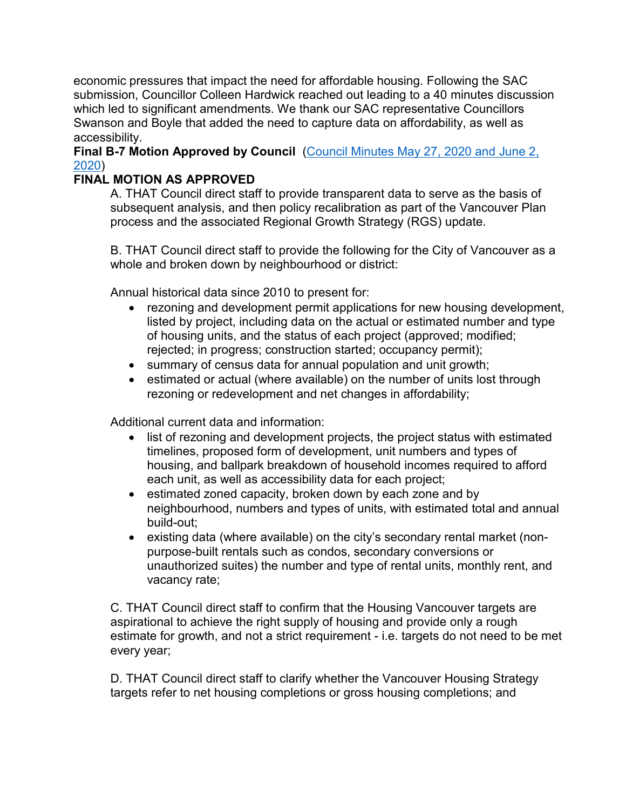economic pressures that impact the need for affordable housing. Following the SAC submission, Councillor Colleen Hardwick reached out leading to a 40 minutes discussion which led to significant amendments. We thank our SAC representative Councillors Swanson and Boyle that added the need to capture data on affordability, as well as accessibility.

**Final B-7 Motion Approved by Council** [\(Council Minutes May 27, 2020 and June 2,](https://council.vancouver.ca/20200527/documents/pspc20200527min.pdf)  [2020\)](https://council.vancouver.ca/20200527/documents/pspc20200527min.pdf)

# **FINAL MOTION AS APPROVED**

A. THAT Council direct staff to provide transparent data to serve as the basis of subsequent analysis, and then policy recalibration as part of the Vancouver Plan process and the associated Regional Growth Strategy (RGS) update.

B. THAT Council direct staff to provide the following for the City of Vancouver as a whole and broken down by neighbourhood or district:

Annual historical data since 2010 to present for:

- rezoning and development permit applications for new housing development, listed by project, including data on the actual or estimated number and type of housing units, and the status of each project (approved; modified; rejected; in progress; construction started; occupancy permit);
- summary of census data for annual population and unit growth;
- estimated or actual (where available) on the number of units lost through rezoning or redevelopment and net changes in affordability;

Additional current data and information:

- list of rezoning and development projects, the project status with estimated timelines, proposed form of development, unit numbers and types of housing, and ballpark breakdown of household incomes required to afford each unit, as well as accessibility data for each project;
- estimated zoned capacity, broken down by each zone and by neighbourhood, numbers and types of units, with estimated total and annual build-out;
- existing data (where available) on the city's secondary rental market (nonpurpose-built rentals such as condos, secondary conversions or unauthorized suites) the number and type of rental units, monthly rent, and vacancy rate;

C. THAT Council direct staff to confirm that the Housing Vancouver targets are aspirational to achieve the right supply of housing and provide only a rough estimate for growth, and not a strict requirement - i.e. targets do not need to be met every year;

D. THAT Council direct staff to clarify whether the Vancouver Housing Strategy targets refer to net housing completions or gross housing completions; and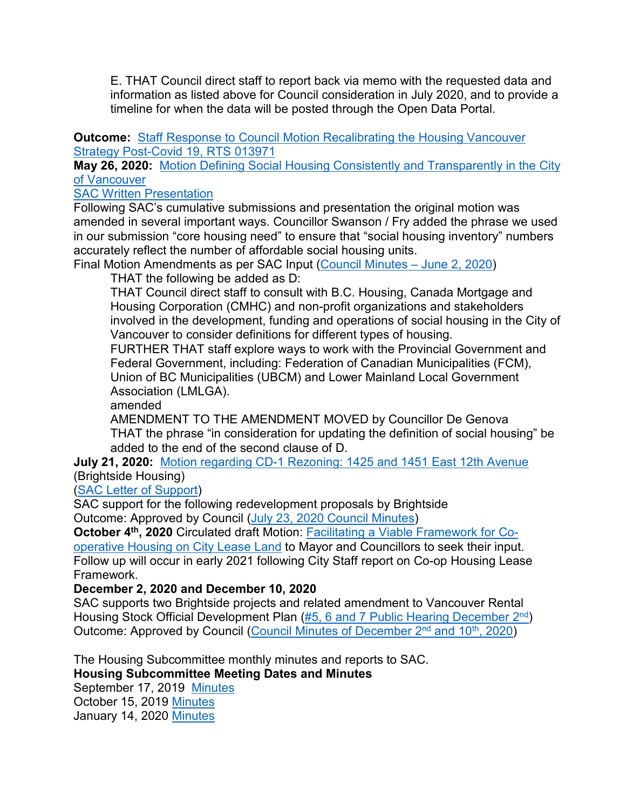E. THAT Council direct staff to report back via memo with the requested data and information as listed above for Council consideration in July 2020, and to provide a timeline for when the data will be posted through the Open Data Portal.

**Outcome:** Staff Response to Council Motion Recalibrating the Housing Vancouver [Strategy Post-Covid 19, RTS 013971](https://vancouver.ca/files/cov/memo-housing-policy-recalibrating-housing-vancouver-targets.pdf)

**May 26, 2020:** [Motion Defining Social Housing Consistently and Transparently in the City](https://council.vancouver.ca/20200527/documents/pspc8.pdf)  [of Vancouver](https://council.vancouver.ca/20200527/documents/pspc8.pdf)

[SAC Written Presentation](https://e.pcloud.link/publink/show?code=XZTNx7ZAuRvgjLOn1FlLzOWJEW61Q5PjQWk)

Following SAC's cumulative submissions and presentation the original motion was amended in several important ways. Councillor Swanson / Fry added the phrase we used in our submission "core housing need" to ensure that "social housing inventory" numbers accurately reflect the number of affordable social housing units.

Final Motion Amendments as per SAC Input [\(Council Minutes –](https://council.vancouver.ca/20200527/documents/pspc20200527min.pdf) June 2, 2020)

THAT the following be added as D:

THAT Council direct staff to consult with B.C. Housing, Canada Mortgage and Housing Corporation (CMHC) and non-profit organizations and stakeholders involved in the development, funding and operations of social housing in the City of Vancouver to consider definitions for different types of housing.

FURTHER THAT staff explore ways to work with the Provincial Government and Federal Government, including: Federation of Canadian Municipalities (FCM), Union of BC Municipalities (UBCM) and Lower Mainland Local Government Association (LMLGA).

amended

AMENDMENT TO THE AMENDMENT MOVED by Councillor De Genova THAT the phrase "in consideration for updating the definition of social housing" be added to the end of the second clause of D.

**July 21, 2020:** [Motion regarding CD-1 Rezoning: 1425 and 1451 East 12th Avenue](https://council.vancouver.ca/20200721/documents/phea4SandR.pdf) (Brightside Housing)

[\(SAC Letter of Support\)](https://e.pcloud.link/publink/show?code=XZGNx7ZYnTuGoClBlBDGQVkApAFdVM1WK5k)

SAC support for the following redevelopment proposals by Brightside Outcome: Approved by Council [\(July 23, 2020 Council Minutes\)](https://council.vancouver.ca/20200623/documents/regu20200623min.pdf)

**October 4th, 2020** Circulated draft Motion: [Facilitating a Viable Framework for Co](https://e.pcloud.link/publink/show?code=XZNax7ZXSJQ5SulBikOSPJLf60AgR4PiALk)[operative Housing on City Lease Land](https://e.pcloud.link/publink/show?code=XZNax7ZXSJQ5SulBikOSPJLf60AgR4PiALk) to Mayor and Councillors to seek their input. Follow up will occur in early 2021 following City Staff report on Co-op Housing Lease Framework.

# **December 2, 2020 and December 10, 2020**

SAC supports two Brightside projects and related amendment to Vancouver Rental Housing Stock Official Development Plan (#5, 6 and 7 Public Hearing December 2<sup>nd</sup>) Outcome: Approved by Council (Council Minutes of December 2<sup>nd</sup> and 10<sup>th</sup>, 2020)

The Housing Subcommittee monthly minutes and reports to SAC.

**Housing Subcommittee Meeting Dates and Minutes**

September 17, 2019 [Minutes](https://e.pcloud.link/publink/show?code=XZ65T7ZiUwARyvJUQ5hFT6twa4310meL5ny) October 15, 2019 [Minutes](https://e.pcloud.link/publink/show?code=XZN5T7ZI3ctON7Op7uAwQVe0KVUPLiTk1RX) January 14, 2020 [Minutes](https://e.pcloud.link/publink/show?code=XZa5T7ZJgPmfEqCVAkHzri1aMUn8B4sLAiy)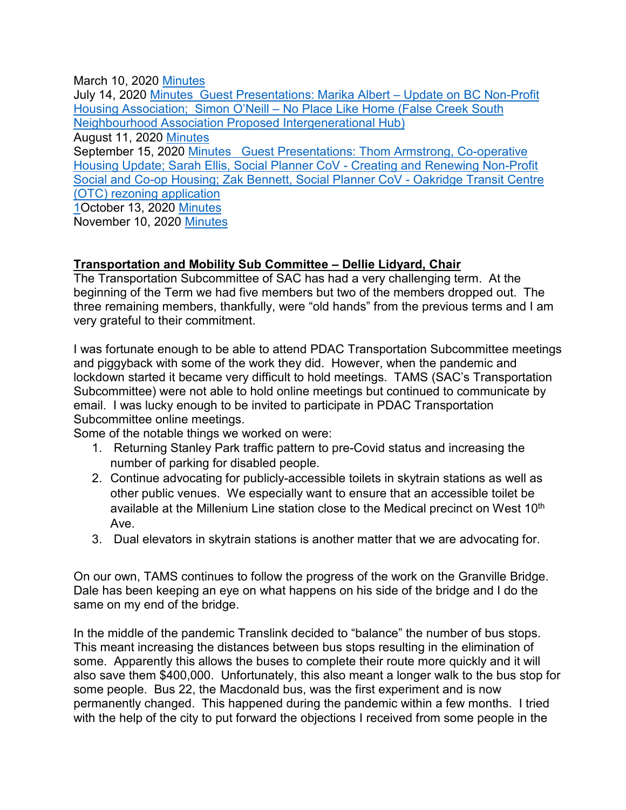March 10, 2020 [Minutes](https://e.pcloud.link/publink/show?code=XZr5T7ZHm3A8YbRQQXqjFW49UYNCJcyk93V)

July 14, 2020 [Minutes](https://e.pcloud.link/publink/show?code=XZc5T7ZpLzvvH467jLjtk3I9LtabVJ69bNy) Guest Presentations: Marika Albert - Update on BC Non-Profit Housing Association; Simon O'Neill – No Place Like Home (False Creek South Neighbourhood Association Proposed Intergenerational Hub) August 11, 2020 [Minutes](https://e.pcloud.link/publink/show?code=XZRJT7ZB3tdykXbasSMgNPoHeXESjlS02ok) September 15, 2020 [Minutes](https://e.pcloud.link/publink/show?code=XZmJT7Z99vHl0Y1bL0xsr7p47c5MQfLBi7X) Guest Presentations: Thom Armstrong, Co-operative Housing Update; Sarah Ellis, Social Planner CoV - Creating and Renewing Non-Profit Social and Co-op Housing; Zak Bennett, Social Planner CoV - Oakridge Transit Centre (OTC) rezoning application 1October 13, 2020 [Minutes](https://e.pcloud.link/publink/show?code=XZ4JT7Z4QNBcvPt2YSiRrD6POyMK4rtO7O7) November 10, 2020 [Minutes](https://e.pcloud.link/publink/show?code=XZ8JT7Zg8O0RHKWeXXftWXOjvFRhFm48NCV)

# **Transportation and Mobility Sub Committee – Dellie Lidyard, Chair**

The Transportation Subcommittee of SAC has had a very challenging term. At the beginning of the Term we had five members but two of the members dropped out. The three remaining members, thankfully, were "old hands" from the previous terms and I am very grateful to their commitment.

I was fortunate enough to be able to attend PDAC Transportation Subcommittee meetings and piggyback with some of the work they did. However, when the pandemic and lockdown started it became very difficult to hold meetings. TAMS (SAC's Transportation Subcommittee) were not able to hold online meetings but continued to communicate by email. I was lucky enough to be invited to participate in PDAC Transportation Subcommittee online meetings.

Some of the notable things we worked on were:

- 1. Returning Stanley Park traffic pattern to pre-Covid status and increasing the number of parking for disabled people.
- 2. Continue advocating for publicly-accessible toilets in skytrain stations as well as other public venues. We especially want to ensure that an accessible toilet be available at the Millenium Line station close to the Medical precinct on West 10<sup>th</sup> Ave.
- 3. Dual elevators in skytrain stations is another matter that we are advocating for.

On our own, TAMS continues to follow the progress of the work on the Granville Bridge. Dale has been keeping an eye on what happens on his side of the bridge and I do the same on my end of the bridge.

In the middle of the pandemic Translink decided to "balance" the number of bus stops. This meant increasing the distances between bus stops resulting in the elimination of some. Apparently this allows the buses to complete their route more quickly and it will also save them \$400,000. Unfortunately, this also meant a longer walk to the bus stop for some people. Bus 22, the Macdonald bus, was the first experiment and is now permanently changed. This happened during the pandemic within a few months. I tried with the help of the city to put forward the objections I received from some people in the